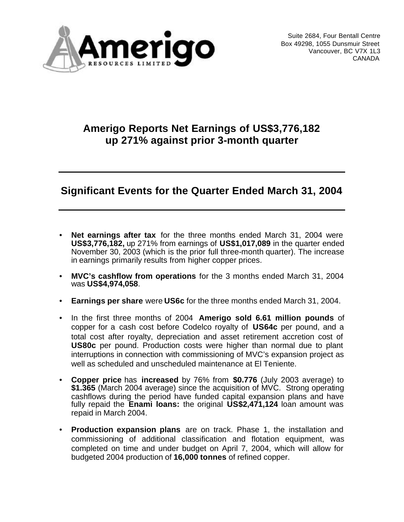

Suite 2684, Four Bentall Centre Box 49298, 1055 Dunsmuir Street Vancouver, BC V7X 1L3 CANADA

# **Amerigo Reports Net Earnings of US\$3,776,182 up 271% against prior 3-month quarter**

# **Significant Events for the Quarter Ended March 31, 2004**

- **Net earnings after tax** for the three months ended March 31, 2004 were **US\$3,776,182,** up 271% from earnings of **US\$1,017,089** in the quarter ended November 30, 2003 (which is the prior full three-month quarter). The increase in earnings primarily results from higher copper prices.
- **MVC's cashflow from operations** for the 3 months ended March 31, 2004 was **US\$4,974,058**.
- **Earnings per share** were **US6c** for the three months ended March 31, 2004.
- In the first three months of 2004 **Amerigo sold 6.61 million pounds** of copper for a cash cost before Codelco royalty of **US64c** per pound, and a total cost after royalty, depreciation and asset retirement accretion cost of **US80c** per pound. Production costs were higher than normal due to plant interruptions in connection with commissioning of MVC's expansion project as well as scheduled and unscheduled maintenance at El Teniente.
- **Copper price** has **increased** by 76% from **\$0.776** (July 2003 average) to **\$1.365** (March 2004 average) since the acquisition of MVC. Strong operating cashflows during the period have funded capital expansion plans and have fully repaid the **Enami loans:** the original **US\$2,471,124** loan amount was repaid in March 2004.
- **Production expansion plans** are on track. Phase 1, the installation and commissioning of additional classification and flotation equipment, was completed on time and under budget on April 7, 2004, which will allow for budgeted 2004 production of **16,000 tonnes** of refined copper.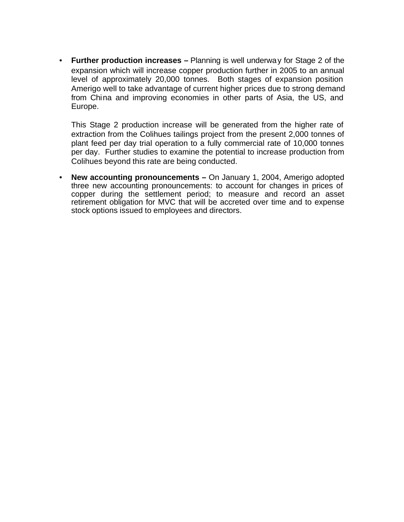• **Further production increases –** Planning is well underway for Stage 2 of the expansion which will increase copper production further in 2005 to an annual level of approximately 20,000 tonnes. Both stages of expansion position Amerigo well to take advantage of current higher prices due to strong demand from China and improving economies in other parts of Asia, the US, and Europe.

This Stage 2 production increase will be generated from the higher rate of extraction from the Colihues tailings project from the present 2,000 tonnes of plant feed per day trial operation to a fully commercial rate of 10,000 tonnes per day. Further studies to examine the potential to increase production from Colihues beyond this rate are being conducted.

• **New accounting pronouncements –** On January 1, 2004, Amerigo adopted three new accounting pronouncements: to account for changes in prices of copper during the settlement period; to measure and record an asset retirement obligation for MVC that will be accreted over time and to expense stock options issued to employees and directors.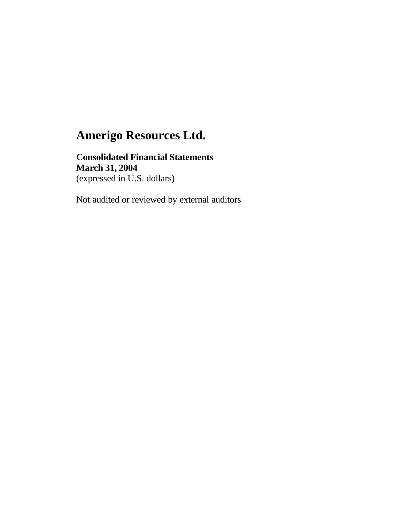### **Consolidated Financial Statements March 31, 2004** (expressed in U.S. dollars)

Not audited or reviewed by external auditors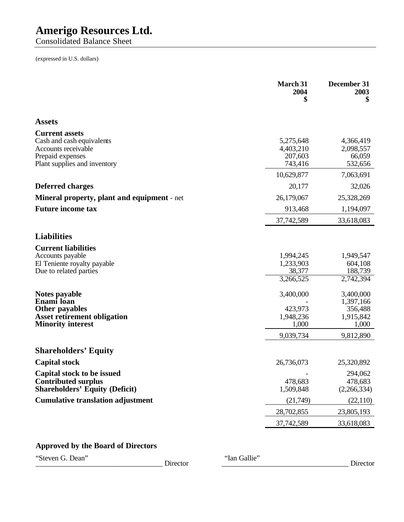Consolidated Balance Sheet

(expressed in U.S. dollars)

|                                                                                                                               | March 31<br>2004<br>\$                                  | December 31<br>2003<br>\$                                            |
|-------------------------------------------------------------------------------------------------------------------------------|---------------------------------------------------------|----------------------------------------------------------------------|
| <b>Assets</b>                                                                                                                 |                                                         |                                                                      |
| <b>Current assets</b><br>Cash and cash equivalents<br>Accounts receivable<br>Prepaid expenses<br>Plant supplies and inventory | 5,275,648<br>4,403,210<br>207,603<br>743,416            | 4,366,419<br>2,098,557<br>66,059<br>532,656<br>7,063,691             |
| <b>Deferred charges</b>                                                                                                       | 10,629,877<br>20,177                                    | 32,026                                                               |
| <b>Mineral property, plant and equipment</b> - net                                                                            | 26,179,067                                              | 25,328,269                                                           |
| <b>Future income tax</b>                                                                                                      | 913,468                                                 | 1,194,097                                                            |
|                                                                                                                               | 37,742,589                                              | 33,618,083                                                           |
| <b>Liabilities</b>                                                                                                            |                                                         |                                                                      |
| <b>Current liabilities</b><br>Accounts payable<br>El Teniente royalty payable<br>Due to related parties                       | 1,994,245<br>1,233,903<br>38,377<br>3,266,525           | 1,949,547<br>604,108<br>188,739<br>2,742,394                         |
| Notes payable<br>Enami loan<br><b>Other payables</b><br><b>Asset retirement obligation</b><br><b>Minority interest</b>        | 3,400,000<br>423,973<br>1,948,236<br>1,000<br>9,039,734 | 3,400,000<br>1,397,166<br>356,488<br>1,915,842<br>1,000<br>9,812,890 |
| <b>Shareholders' Equity</b>                                                                                                   |                                                         |                                                                      |
| <b>Capital stock</b>                                                                                                          | 26,736,073                                              | 25,320,892                                                           |
| Capital stock to be issued<br><b>Contributed surplus</b><br><b>Shareholders' Equity (Deficit)</b>                             | 478,683<br>1,509,848                                    | 294,062<br>478,683<br>(2,266,334)                                    |
| <b>Cumulative translation adjustment</b>                                                                                      | (21,749)                                                | (22, 110)                                                            |
|                                                                                                                               | 28,702,855                                              | 23,805,193                                                           |
|                                                                                                                               | 37,742,589                                              | 33,618,083                                                           |

### **Approved by the Board of Directors**

"Steven G. Dean" Director "Ian Gallie"

\_\_\_\_\_\_\_\_\_\_\_\_\_\_\_\_\_\_\_\_\_\_\_\_\_\_\_\_\_\_\_\_\_\_\_ Director \_\_\_\_\_\_\_\_\_\_\_\_\_\_\_\_\_\_\_\_\_\_\_\_\_\_\_\_\_\_\_\_\_\_\_ Director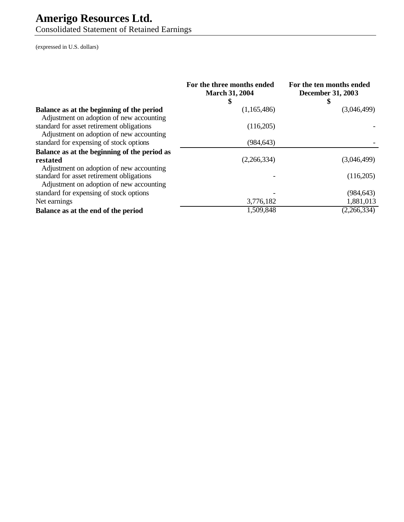Consolidated Statement of Retained Earnings

(expressed in U.S. dollars)

|                                                                                       | For the three months ended<br><b>March 31, 2004</b><br>\$ | For the ten months ended<br><b>December 31, 2003</b><br>S |
|---------------------------------------------------------------------------------------|-----------------------------------------------------------|-----------------------------------------------------------|
| Balance as at the beginning of the period<br>Adjustment on adoption of new accounting | (1,165,486)                                               | (3,046,499)                                               |
| standard for asset retirement obligations<br>Adjustment on adoption of new accounting | (116,205)                                                 |                                                           |
| standard for expensing of stock options                                               | (984, 643)                                                |                                                           |
| Balance as at the beginning of the period as                                          |                                                           |                                                           |
| restated<br>Adjustment on adoption of new accounting                                  | (2,266,334)                                               | (3,046,499)                                               |
| standard for asset retirement obligations<br>Adjustment on adoption of new accounting |                                                           | (116,205)                                                 |
| standard for expensing of stock options                                               |                                                           | (984, 643)                                                |
| Net earnings                                                                          | 3,776,182                                                 | 1,881,013                                                 |
| Balance as at the end of the period                                                   | 1,509,848                                                 | (2,266,334)                                               |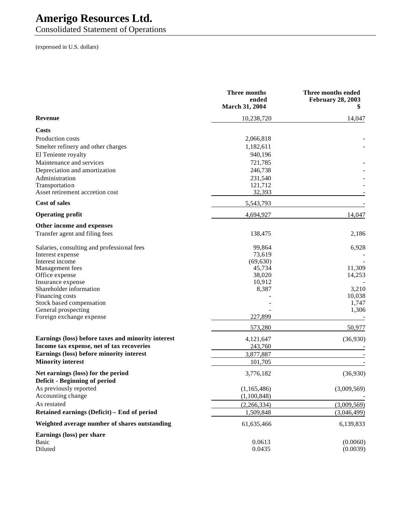Consolidated Statement of Operations

(expressed in U.S. dollars)

|                                                    | Three months<br>ended<br><b>March 31, 2004</b> | Three months ended<br><b>February 28, 2003</b> |
|----------------------------------------------------|------------------------------------------------|------------------------------------------------|
| Revenue                                            | 10,238,720                                     | 14,047                                         |
| Costs                                              |                                                |                                                |
| Production costs                                   | 2,066,818                                      |                                                |
| Smelter refinery and other charges                 | 1,182,611                                      |                                                |
| El Teniente royalty                                | 940,196                                        |                                                |
| Maintenance and services                           | 721,785                                        |                                                |
| Depreciation and amortization                      | 246,738                                        |                                                |
| Administration                                     | 231,540                                        |                                                |
| Transportation                                     | 121,712                                        |                                                |
| Asset retirement accretion cost                    | 32,393                                         |                                                |
| <b>Cost of sales</b>                               | 5,543,793                                      |                                                |
| <b>Operating profit</b>                            | 4,694,927                                      | 14,047                                         |
| Other income and expenses                          |                                                |                                                |
| Transfer agent and filing fees                     | 138,475                                        | 2,186                                          |
| Salaries, consulting and professional fees         | 99,864                                         | 6,928                                          |
| Interest expense                                   | 73,619                                         |                                                |
| Interest income                                    | (69, 630)                                      |                                                |
| Management fees                                    | 45,734                                         | 11,309                                         |
| Office expense                                     | 38,020                                         | 14,253                                         |
| Insurance expense                                  | 10,912                                         |                                                |
| Shareholder information                            | 8,387                                          | 3,210                                          |
| Financing costs<br>Stock based compensation        |                                                | 10,038<br>1,747                                |
| General prospecting                                |                                                | 1,306                                          |
| Foreign exchange expense                           | 227,899                                        |                                                |
|                                                    | 573,280                                        | 50,977                                         |
| Earnings (loss) before taxes and minority interest | 4,121,647                                      | (36,930)                                       |
| Income tax expense, net of tax recoveries          | 243,760                                        |                                                |
| Earnings (loss) before minority interest           | 3,877,887                                      |                                                |
| <b>Minority interest</b>                           | 101,705                                        |                                                |
| Net earnings (loss) for the period                 | 3,776,182                                      | (36,930)                                       |
| Deficit - Beginning of period                      |                                                |                                                |
| As previously reported                             | (1,165,486)                                    | (3,009,569)                                    |
| Accounting change                                  | (1,100,848)                                    |                                                |
| As restated                                        | (2,266,334)                                    | (3,009,569)                                    |
| Retained earnings (Deficit) - End of period        | 1,509,848                                      | (3,046,499)                                    |
| Weighted average number of shares outstanding      | 61,635,466                                     | 6,139,833                                      |
| Earnings (loss) per share<br><b>Basic</b>          | 0.0613                                         | (0.0060)                                       |
| Diluted                                            | 0.0435                                         | (0.0039)                                       |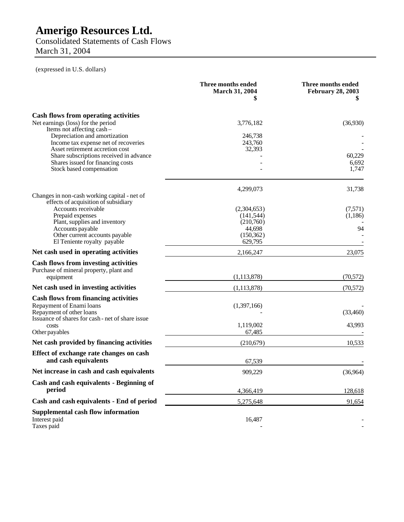Consolidated Statements of Cash Flows March 31, 2004

(expressed in U.S. dollars)

|                                                                                                                                                         | Three months ended<br><b>March 31, 2004</b><br>\$ | Three months ended<br><b>February 28, 2003</b> |
|---------------------------------------------------------------------------------------------------------------------------------------------------------|---------------------------------------------------|------------------------------------------------|
| Cash flows from operating activities<br>Net earnings (loss) for the period                                                                              | 3,776,182                                         | (36,930)                                       |
| Items not affecting cash-<br>Depreciation and amortization<br>Income tax expense net of recoveries<br>Asset retirement accretion cost                   | 246,738<br>243,760<br>32,393                      |                                                |
| Share subscriptions received in advance<br>Shares issued for financing costs<br>Stock based compensation                                                |                                                   | 60,229<br>6,692<br>1,747                       |
| Changes in non-cash working capital - net of<br>effects of acquisition of subsidiary                                                                    | 4,299,073                                         | 31,738                                         |
| Accounts receivable<br>Prepaid expenses<br>Plant, supplies and inventory                                                                                | (2,304,653)<br>(141, 544)<br>(210,760)            | (7,571)<br>(1,186)                             |
| Accounts payable<br>Other current accounts payable<br>El Teniente royalty payable                                                                       | 44,698<br>(150, 362)<br>629,795                   | 94                                             |
| Net cash used in operating activities                                                                                                                   | 2,166,247                                         | 23,075                                         |
| <b>Cash flows from investing activities</b><br>Purchase of mineral property, plant and<br>equipment                                                     | (1, 113, 878)                                     | (70, 572)                                      |
| Net cash used in investing activities                                                                                                                   | (1,113,878)                                       | (70, 572)                                      |
| <b>Cash flows from financing activities</b><br>Repayment of Enami loans<br>Repayment of other loans<br>Issuance of shares for cash - net of share issue | (1,397,166)                                       | (33,460)                                       |
| costs<br>Other payables                                                                                                                                 | 1,119,002<br>67,485                               | 43,993                                         |
| Net cash provided by financing activities                                                                                                               | (210.679)                                         | 10,533                                         |
| Effect of exchange rate changes on cash<br>and cash equivalents                                                                                         | 67,539                                            |                                                |
| Net increase in cash and cash equivalents                                                                                                               | 909,229                                           | (36,964)                                       |
| Cash and cash equivalents - Beginning of<br>period                                                                                                      | 4,366,419                                         | 128,618                                        |
| Cash and cash equivalents - End of period                                                                                                               | 5,275,648                                         | 91,654                                         |
| <b>Supplemental cash flow information</b><br>Interest paid<br>Taxes paid                                                                                | 16,487                                            |                                                |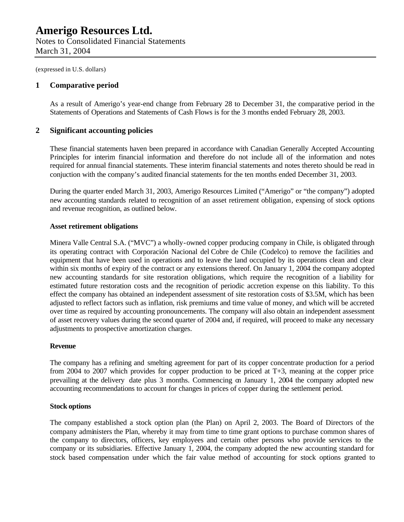Notes to Consolidated Financial Statements March 31, 2004

(expressed in U.S. dollars)

#### **1 Comparative period**

As a result of Amerigo's year-end change from February 28 to December 31, the comparative period in the Statements of Operations and Statements of Cash Flows is for the 3 months ended February 28, 2003.

#### **2 Significant accounting policies**

These financial statements haven been prepared in accordance with Canadian Generally Accepted Accounting Principles for interim financial information and therefore do not include all of the information and notes required for annual financial statements. These interim financial statements and notes thereto should be read in conjuction with the company's audited financial statements for the ten months ended December 31, 2003.

During the quarter ended March 31, 2003, Amerigo Resources Limited ("Amerigo" or "the company") adopted new accounting standards related to recognition of an asset retirement obligation, expensing of stock options and revenue recognition, as outlined below.

#### **Asset retirement obligations**

Minera Valle Central S.A. ("MVC") a wholly-owned copper producing company in Chile, is obligated through its operating contract with Corporación Nacional del Cobre de Chile (Codelco) to remove the facilities and equipment that have been used in operations and to leave the land occupied by its operations clean and clear within six months of expiry of the contract or any extensions thereof. On January 1, 2004 the company adopted new accounting standards for site restoration obligations, which require the recognition of a liability for estimated future restoration costs and the recognition of periodic accretion expense on this liability. To this effect the company has obtained an independent assessment of site restoration costs of \$3.5M, which has been adjusted to reflect factors such as inflation, risk premiums and time value of money, and which will be accreted over time as required by accounting pronouncements. The company will also obtain an independent assessment of asset recovery values during the second quarter of 2004 and, if required, will proceed to make any necessary adjustments to prospective amortization charges.

#### **Revenue**

The company has a refining and smelting agreement for part of its copper concentrate production for a period from 2004 to 2007 which provides for copper production to be priced at T+3, meaning at the copper price prevailing at the delivery date plus 3 months. Commencing on January 1, 2004 the company adopted new accounting recommendations to account for changes in prices of copper during the settlement period.

#### **Stock options**

The company established a stock option plan (the Plan) on April 2, 2003. The Board of Directors of the company administers the Plan, whereby it may from time to time grant options to purchase common shares of the company to directors, officers, key employees and certain other persons who provide services to the company or its subsidiaries. Effective January 1, 2004, the company adopted the new accounting standard for stock based compensation under which the fair value method of accounting for stock options granted to